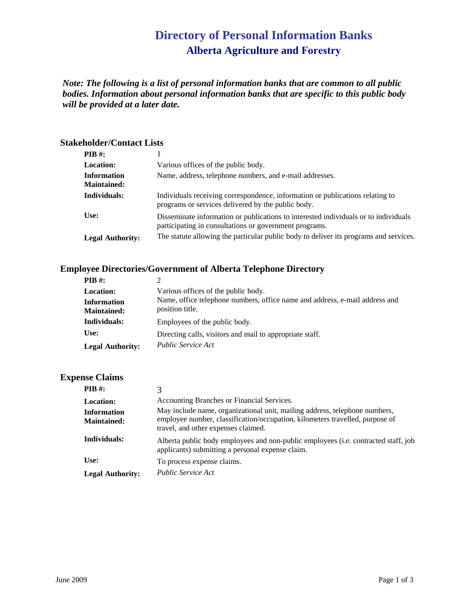# **Directory of Personal Information Banks Alberta Agriculture and Forestry**

*Note: The following is a list of personal information banks that are common to all public bodies. Information about personal information banks that are specific to this public body will be provided at a later date.* 

#### **Stakeholder/Contact Lists**

| $PIB$ #:                                 |                                                                                                                                               |
|------------------------------------------|-----------------------------------------------------------------------------------------------------------------------------------------------|
| <b>Location:</b>                         | Various offices of the public body.                                                                                                           |
| <b>Information</b><br><b>Maintained:</b> | Name, address, telephone numbers, and e-mail addresses.                                                                                       |
| Individuals:                             | Individuals receiving correspondence, information or publications relating to<br>programs or services delivered by the public body.           |
| Use:                                     | Disseminate information or publications to interested individuals or to individuals<br>participating in consultations or government programs. |
| <b>Legal Authority:</b>                  | The statute allowing the particular public body to deliver its programs and services.                                                         |

### **Employee Directories/Government of Alberta Telephone Directory**

| $PIB \#$ :              | $\mathcal{D}$                                                               |
|-------------------------|-----------------------------------------------------------------------------|
| <b>Location:</b>        | Various offices of the public body.                                         |
| <b>Information</b>      | Name, office telephone numbers, office name and address, e-mail address and |
| <b>Maintained:</b>      | position title.                                                             |
| Individuals:            | Employees of the public body.                                               |
| Use:                    | Directing calls, visitors and mail to appropriate staff.                    |
| <b>Legal Authority:</b> | <i>Public Service Act</i>                                                   |

#### **Expense Claims**

| PIB #:                                   |                                                                                                                                                                                                   |
|------------------------------------------|---------------------------------------------------------------------------------------------------------------------------------------------------------------------------------------------------|
| <b>Location:</b>                         | Accounting Branches or Financial Services.                                                                                                                                                        |
| <b>Information</b><br><b>Maintained:</b> | May include name, organizational unit, mailing address, telephone numbers,<br>employee number, classification/occupation, kilometers travelled, purpose of<br>travel, and other expenses claimed. |
| Individuals:                             | Alberta public body employees and non-public employees ( <i>i.e.</i> contracted staff, job<br>applicants) submitting a personal expense claim.                                                    |
| Use:                                     | To process expense claims.                                                                                                                                                                        |
| <b>Legal Authority:</b>                  | <i>Public Service Act</i>                                                                                                                                                                         |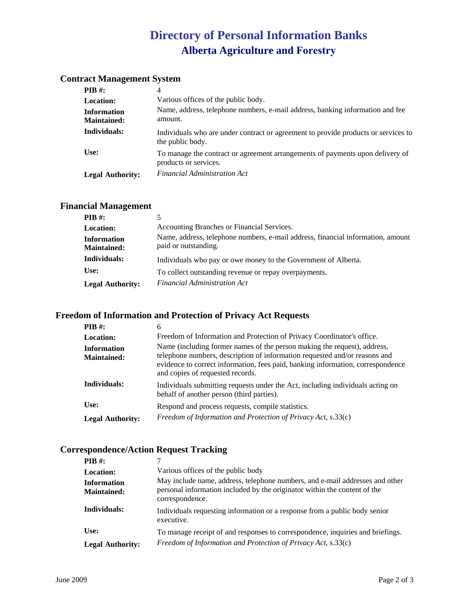# **Directory of Personal Information Banks Alberta Agriculture and Forestry**

#### **Contract Management System**

| <b>PIB</b> #:                     | 4                                                                                                      |
|-----------------------------------|--------------------------------------------------------------------------------------------------------|
| <b>Location:</b>                  | Various offices of the public body.                                                                    |
| <b>Information</b><br>Maintained: | Name, address, telephone numbers, e-mail address, banking information and fee<br>amount.               |
| Individuals:                      | Individuals who are under contract or agreement to provide products or services to<br>the public body. |
| Use:                              | To manage the contract or agreement arrangements of payments upon delivery of<br>products or services. |
| <b>Legal Authority:</b>           | <b>Financial Administration Act</b>                                                                    |

### **Financial Management**

| $PIB$ #:                                 |                                                                                                         |
|------------------------------------------|---------------------------------------------------------------------------------------------------------|
| <b>Location:</b>                         | Accounting Branches or Financial Services.                                                              |
| <b>Information</b><br><b>Maintained:</b> | Name, address, telephone numbers, e-mail address, financial information, amount<br>paid or outstanding. |
| Individuals:                             | Individuals who pay or owe money to the Government of Alberta.                                          |
| Use:                                     | To collect outstanding revenue or repay overpayments.                                                   |
| <b>Legal Authority:</b>                  | <b>Financial Administration Act</b>                                                                     |

#### **Freedom of Information and Protection of Privacy Act Requests**

| <b>PIB</b> #:                            | 6                                                                                                                                                                                                                                                                             |
|------------------------------------------|-------------------------------------------------------------------------------------------------------------------------------------------------------------------------------------------------------------------------------------------------------------------------------|
| <b>Location:</b>                         | Freedom of Information and Protection of Privacy Coordinator's office.                                                                                                                                                                                                        |
| <b>Information</b><br><b>Maintained:</b> | Name (including former names of the person making the request), address,<br>telephone numbers, description of information requested and/or reasons and<br>evidence to correct information, fees paid, banking information, correspondence<br>and copies of requested records. |
| Individuals:                             | Individuals submitting requests under the Act, including individuals acting on<br>behalf of another person (third parties).                                                                                                                                                   |
| Use:                                     | Respond and process requests, compile statistics.                                                                                                                                                                                                                             |
| <b>Legal Authority:</b>                  | Freedom of Information and Protection of Privacy Act, s.33(c)                                                                                                                                                                                                                 |

### **Correspondence/Action Request Tracking**

| PIB #:                                   |                                                                                                                                                                              |
|------------------------------------------|------------------------------------------------------------------------------------------------------------------------------------------------------------------------------|
| <b>Location:</b>                         | Various offices of the public body                                                                                                                                           |
| <b>Information</b><br><b>Maintained:</b> | May include name, address, telephone numbers, and e-mail addresses and other<br>personal information included by the originator within the content of the<br>correspondence. |
| Individuals:                             | Individuals requesting information or a response from a public body senior<br>executive.                                                                                     |
| Use:                                     | To manage receipt of and responses to correspondence, inquiries and briefings.                                                                                               |
| <b>Legal Authority:</b>                  | Freedom of Information and Protection of Privacy Act, s.33(c)                                                                                                                |